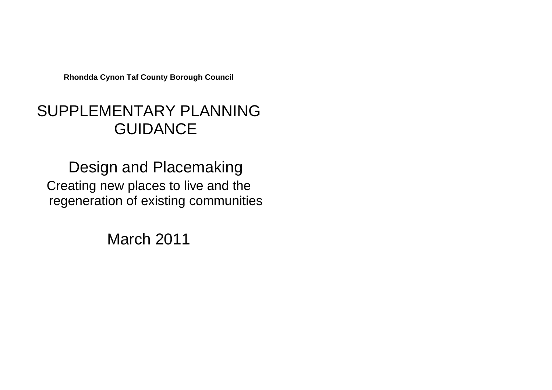**Rhondda Cynon Taf County Borough Council**

# SUPPLEMENTARY PLANNING **GUIDANCE**

Design and Placemaking Creating new places to live and the regeneration of existing communities

March 2011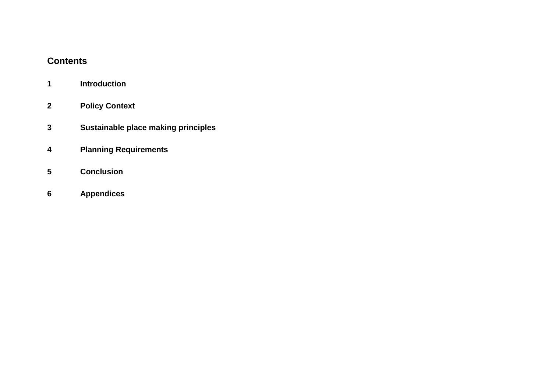# **Contents**

- **Introduction**
- **Policy Context**
- **Sustainable place making principles**
- **Planning Requirements**
- **Conclusion**
- **Appendices**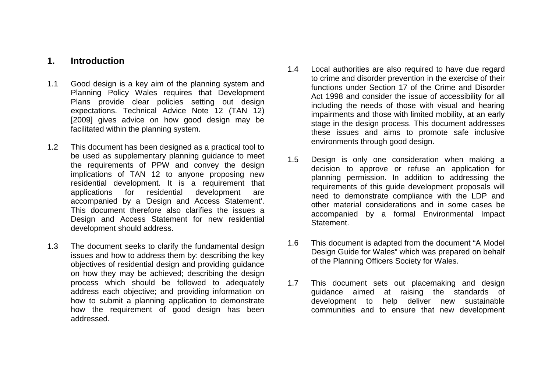# **1. Introduction**

- 1.1 Good design is a key aim of the planning system and Planning Policy Wales requires that Development Plans provide clear policies setting out design expectations. Technical Advice Note 12 (TAN 12) [2009] gives advice on how good design may be facilitated within the planning system.
- 1.2 This document has been designed as a practical tool to be used as supplementary planning guidance to meet the requirements of PPW and convey the design implications of TAN 12 to anyone proposing new residential development. It is a requirement that applications for residential development are accompanied by a 'Design and Access Statement'. This document therefore also clarifies the issues a Design and Access Statement for new residential development should address.
- 1.3 The document seeks to clarify the fundamental design issues and how to address them by: describing the key objectives of residential design and providing guidance on how they may be achieved; describing the design process which should be followed to adequately address each objective; and providing information on how to submit a planning application to demonstrate how the requirement of good design has been addressed.
- 1.4 Local authorities are also required to have due regard to crime and disorder prevention in the exercise of their functions under Section 17 of the Crime and Disorder Act 1998 and consider the issue of accessibility for all including the needs of those with visual and hearing impairments and those with limited mobility, at an early stage in the design process. This document addresses these issues and aims to promote safe inclusive environments through good design.
- 1.5 Design is only one consideration when making a decision to approve or refuse an application for planning permission. In addition to addressing the requirements of this guide development proposals will need to demonstrate compliance with the LDP and other material considerations and in some cases be accompanied by a formal Environmental Impact Statement.
- 1.6 This document is adapted from the document "A Model Design Guide for Wales" which was prepared on behalf of the Planning Officers Society for Wales.
- 1.7 This document sets out placemaking and design guidance aimed at raising the standards of development to help deliver new sustainable communities and to ensure that new development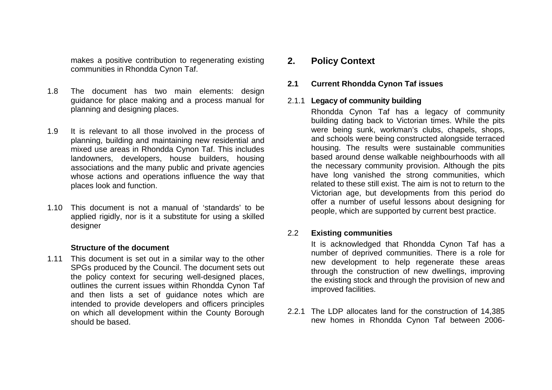makes a positive contribution to regenerating existing communities in Rhondda Cynon Taf.

- 1.8 The document has two main elements: design guidance for place making and a process manual for planning and designing places.
- 1.9 It is relevant to all those involved in the process of planning, building and maintaining new residential and mixed use areas in Rhondda Cynon Taf. This includes landowners, developers, house builders, housing associations and the many public and private agencies whose actions and operations influence the way that places look and function.
- 1.10 This document is not a manual of 'standards' to be applied rigidly, nor is it a substitute for using a skilled designer

#### **Structure of the document**

1.11 This document is set out in a similar way to the other SPGs produced by the Council. The document sets out the policy context for securing well-designed places, outlines the current issues within Rhondda Cynon Taf and then lists a set of guidance notes which are intended to provide developers and officers principles on which all development within the County Borough should be based.

# **2. Policy Context**

# **2.1 Current Rhondda Cynon Taf issues**

# 2.1.1 **Legacy of community building**

Rhondda Cynon Taf has a legacy of community building dating back to Victorian times. While the pits were being sunk, workman's clubs, chapels, shops, and schools were being constructed alongside terraced housing. The results were sustainable communities based around dense walkable neighbourhoods with all the necessary community provision. Although the pits have long vanished the strong communities, which related to these still exist. The aim is not to return to the Victorian age, but developments from this period do offer a number of useful lessons about designing for people, which are supported by current best practice.

# 2.2 **Existing communities**

It is acknowledged that Rhondda Cynon Taf has a number of deprived communities. There is a role for new development to help regenerate these areas through the construction of new dwellings, improving the existing stock and through the provision of new and improved facilities.

2.2.1 The LDP allocates land for the construction of 14,385 new homes in Rhondda Cynon Taf between 2006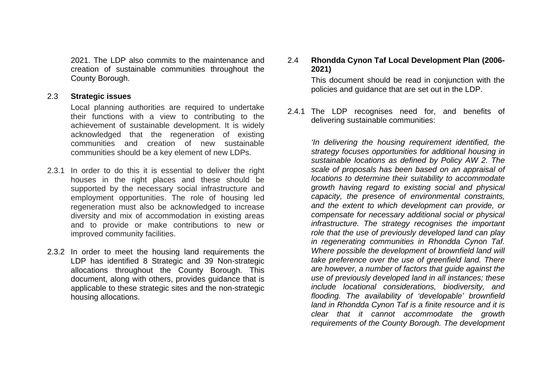2021. The LDP also commits to the maintenance and creation of sustainable communities throughout the County Borough.

#### 2.3 **Strategic issues**

Local planning authorities are required to undertake their functions with a view to contributing to the achievement of sustainable development. It is widely acknowledged that the regeneration of existing communities and creation of new sustainable communities should be a key element of new LDPs.

- 2.3.1 In order to do this it is essential to deliver the right houses in the right places and these should be supported by the necessary social infrastructure and employment opportunities. The role of housing led regeneration must also be acknowledged to increase diversity and mix of accommodation in existing areas and to provide or make contributions to new or improved community facilities.
- 2.3.2 In order to meet the housing land requirements the LDP has identified 8 Strategic and 39 Non-strategic allocations throughout the County Borough. This document, along with others, provides guidance that is applicable to these strategic sites and the non-strategic housing allocations.

# 2.4 **Rhondda Cynon Taf Local Development Plan (2006- 2021)**

This document should be read in conjunction with the policies and guidance that are set out in the LDP.

2.4.1 The LDP recognises need for, and benefits of delivering sustainable communities:

> *'In delivering the housing requirement identified, the strategy focuses opportunities for additional housing in sustainable locations as defined by Policy AW 2. The scale of proposals has been based on an appraisal of locations to determine their suitability to accommodate growth having regard to existing social and physical capacity, the presence of environmental constraints, and the extent to which development can provide, or compensate for necessary additional social or physical infrastructure. The strategy recognises the important role that the use of previously developed land can play in regenerating communities in Rhondda Cynon Taf. Where possible the development of brownfield land will take preference over the use of greenfield land. There are however, a number of factors that guide against the use of previously developed land in all instances; these include locational considerations, biodiversity, and flooding. The availability of 'developable' brownfield land in Rhondda Cynon Taf is a finite resource and it is clear that it cannot accommodate the growth requirements of the County Borough. The development*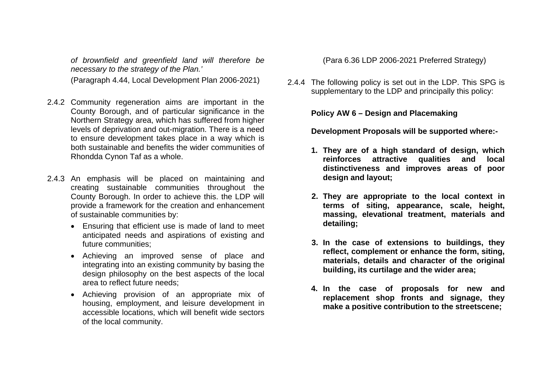*of brownfield and greenfield land will therefore be necessary to the strategy of the Plan.'*

(Paragraph 4.44, Local Development Plan 2006-2021)

- 2.4.2 Community regeneration aims are important in the County Borough, and of particular significance in the Northern Strategy area, which has suffered from higher levels of deprivation and out-migration. There is a need to ensure development takes place in a way which is both sustainable and benefits the wider communities of Rhondda Cynon Taf as a whole.
- 2.4.3 An emphasis will be placed on maintaining and creating sustainable communities throughout the County Borough. In order to achieve this. the LDP will provide a framework for the creation and enhancement of sustainable communities by:
	- Ensuring that efficient use is made of land to meet anticipated needs and aspirations of existing and future communities;
	- Achieving an improved sense of place and integrating into an existing community by basing the design philosophy on the best aspects of the local area to reflect future needs;
	- Achieving provision of an appropriate mix of housing, employment, and leisure development in accessible locations, which will benefit wide sectors of the local community.

(Para 6.36 LDP 2006-2021 Preferred Strategy)

2.4.4 The following policy is set out in the LDP. This SPG is supplementary to the LDP and principally this policy:

**Policy AW 6 – Design and Placemaking**

**Development Proposals will be supported where:-**

- **1. They are of a high standard of design, which reinforces attractive qualities and local distinctiveness and improves areas of poor design and layout;**
- **2. They are appropriate to the local context in terms of siting, appearance, scale, height, massing, elevational treatment, materials and detailing;**
- **3. In the case of extensions to buildings, they reflect, complement or enhance the form, siting, materials, details and character of the original building, its curtilage and the wider area;**
- **4. In the case of proposals for new and replacement shop fronts and signage, they make a positive contribution to the streetscene;**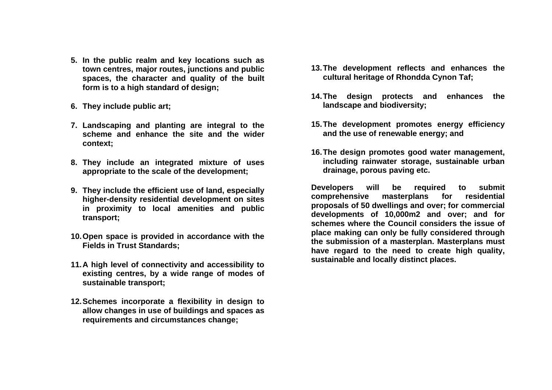- **5. In the public realm and key locations such as town centres, major routes, junctions and public spaces, the character and quality of the built form is to a high standard of design;**
- **6. They include public art;**
- **7. Landscaping and planting are integral to the scheme and enhance the site and the wider context;**
- **8. They include an integrated mixture of uses appropriate to the scale of the development;**
- **9. They include the efficient use of land, especially higher-density residential development on sites in proximity to local amenities and public transport;**
- **10.Open space is provided in accordance with the Fields in Trust Standards;**
- **11.A high level of connectivity and accessibility to existing centres, by a wide range of modes of sustainable transport;**
- **12.Schemes incorporate a flexibility in design to allow changes in use of buildings and spaces as requirements and circumstances change;**
- **13.The development reflects and enhances the cultural heritage of Rhondda Cynon Taf;**
- **14.The design protects and enhances the landscape and biodiversity;**
- **15.The development promotes energy efficiency and the use of renewable energy; and**
- **16.The design promotes good water management, including rainwater storage, sustainable urban drainage, porous paving etc.**

**Developers will be required to submit comprehensive masterplans for residential proposals of 50 dwellings and over; for commercial developments of 10,000m2 and over; and for schemes where the Council considers the issue of place making can only be fully considered through the submission of a masterplan. Masterplans must have regard to the need to create high quality, sustainable and locally distinct places.**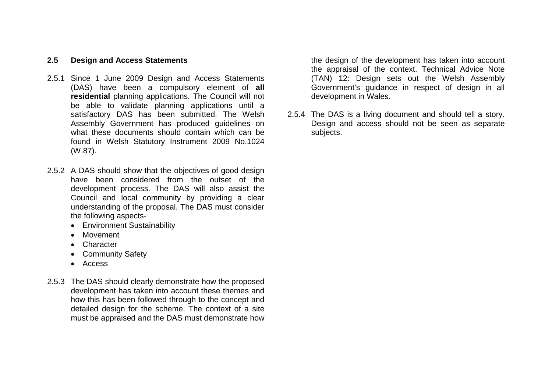#### **2.5 Design and Access Statements**

- 2.5.1 Since 1 June 2009 Design and Access Statements (DAS) have been a compulsory element of **all residential** planning applications. The Council will not be able to validate planning applications until a satisfactory DAS has been submitted. The Welsh Assembly Government has produced guidelines on what these documents should contain which can be found in Welsh Statutory Instrument 2009 No.1024 (W.87).
- 2.5.2 A DAS should show that the objectives of good design have been considered from the outset of the development process. The DAS will also assist the Council and local community by providing a clear understanding of the proposal. The DAS must consider the following aspects-
	- Environment Sustainability
	- Movement
	- Character
	- Community Safety
	- Access
- 2.5.3 The DAS should clearly demonstrate how the proposed development has taken into account these themes and how this has been followed through to the concept and detailed design for the scheme. The context of a site must be appraised and the DAS must demonstrate how

the design of the development has taken into account the appraisal of the context. Technical Advice Note (TAN) 12: Design sets out the Welsh Assembly Government's guidance in respect of design in all development in Wales.

2.5.4 The DAS is a living document and should tell a story. Design and access should not be seen as separate subjects.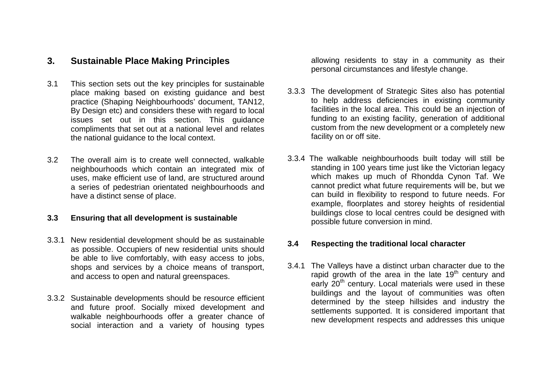# **3. Sustainable Place Making Principles**

- 3.1 This section sets out the key principles for sustainable place making based on existing guidance and best practice (Shaping Neighbourhoods' document, TAN12, By Design etc) and considers these with regard to local issues set out in this section. This guidance compliments that set out at a national level and relates the national guidance to the local context.
- 3.2 The overall aim is to create well connected, walkable neighbourhoods which contain an integrated mix of uses, make efficient use of land, are structured around a series of pedestrian orientated neighbourhoods and have a distinct sense of place.

#### **3.3 Ensuring that all development is sustainable**

- 3.3.1 New residential development should be as sustainable as possible. Occupiers of new residential units should be able to live comfortably, with easy access to jobs, shops and services by a choice means of transport, and access to open and natural greenspaces.
- 3.3.2 Sustainable developments should be resource efficient and future proof. Socially mixed development and walkable neighbourhoods offer a greater chance of social interaction and a variety of housing types

allowing residents to stay in a community as their personal circumstances and lifestyle change.

- 3.3.3 The development of Strategic Sites also has potential to help address deficiencies in existing community facilities in the local area. This could be an injection of funding to an existing facility, generation of additional custom from the new development or a completely new facility on or off site.
- 3.3.4 The walkable neighbourhoods built today will still be standing in 100 years time just like the Victorian legacy which makes up much of Rhondda Cynon Taf. We cannot predict what future requirements will be, but we can build in flexibility to respond to future needs. For example, floorplates and storey heights of residential buildings close to local centres could be designed with possible future conversion in mind.

# **3.4 Respecting the traditional local character**

3.4.1 The Valleys have a distinct urban character due to the rapid growth of the area in the late  $19<sup>th</sup>$  century and early  $20<sup>th</sup>$  century. Local materials were used in these buildings and the layout of communities was often determined by the steep hillsides and industry the settlements supported. It is considered important that new development respects and addresses this unique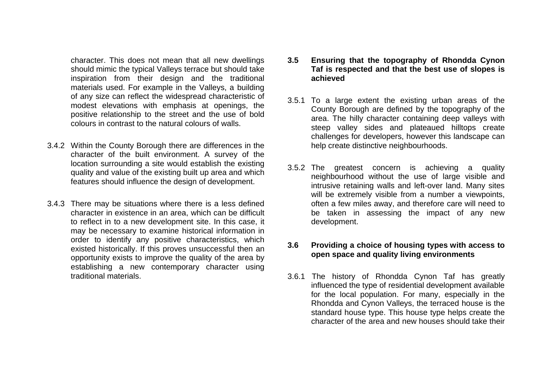character. This does not mean that all new dwellings should mimic the typical Valleys terrace but should take inspiration from their design and the traditional materials used. For example in the Valleys, a building of any size can reflect the widespread characteristic of modest elevations with emphasis at openings, the positive relationship to the street and the use of bold colours in contrast to the natural colours of walls.

- 3.4.2 Within the County Borough there are differences in the character of the built environment. A survey of the location surrounding a site would establish the existing quality and value of the existing built up area and which features should influence the design of development.
- 3.4.3 There may be situations where there is a less defined character in existence in an area, which can be difficult to reflect in to a new development site. In this case, it may be necessary to examine historical information in order to identify any positive characteristics, which existed historically. If this proves unsuccessful then an opportunity exists to improve the quality of the area by establishing a new contemporary character using traditional materials.
- **3.5 Ensuring that the topography of Rhondda Cynon Taf is respected and that the best use of slopes is achieved**
- 3.5.1 To a large extent the existing urban areas of the County Borough are defined by the topography of the area. The hilly character containing deep valleys with steep valley sides and plateaued hilltops create challenges for developers, however this landscape can help create distinctive neighbourhoods.
- 3.5.2 The greatest concern is achieving a quality neighbourhood without the use of large visible and intrusive retaining walls and left-over land. Many sites will be extremely visible from a number a viewpoints, often a few miles away, and therefore care will need to be taken in assessing the impact of any new development.

# **3.6 Providing a choice of housing types with access to open space and quality living environments**

3.6.1 The history of Rhondda Cynon Taf has greatly influenced the type of residential development available for the local population. For many, especially in the Rhondda and Cynon Valleys, the terraced house is the standard house type. This house type helps create the character of the area and new houses should take their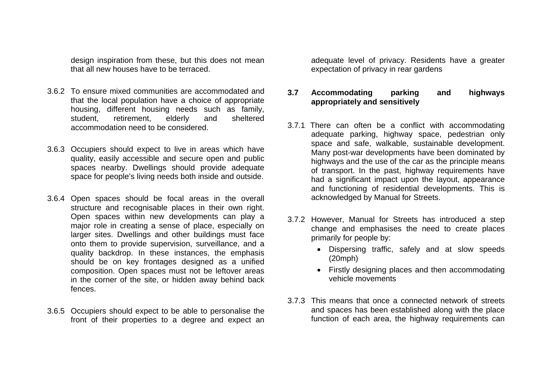design inspiration from these, but this does not mean that all new houses have to be terraced.

- 3.6.2 To ensure mixed communities are accommodated and that the local population have a choice of appropriate housing, different housing needs such as family, student, retirement, elderly and sheltered accommodation need to be considered.
- 3.6.3 Occupiers should expect to live in areas which have quality, easily accessible and secure open and public spaces nearby. Dwellings should provide adequate space for people's living needs both inside and outside.
- 3.6.4 Open spaces should be focal areas in the overall structure and recognisable places in their own right. Open spaces within new developments can play a major role in creating a sense of place, especially on larger sites. Dwellings and other buildings must face onto them to provide supervision, surveillance, and a quality backdrop. In these instances, the emphasis should be on key frontages designed as a unified composition. Open spaces must not be leftover areas in the corner of the site, or hidden away behind back fences.
- 3.6.5 Occupiers should expect to be able to personalise the front of their properties to a degree and expect an

adequate level of privacy. Residents have a greater expectation of privacy in rear gardens

# **3.7 Accommodating parking and highways appropriately and sensitively**

- 3.7.1 There can often be a conflict with accommodating adequate parking, highway space, pedestrian only space and safe, walkable, sustainable development. Many post-war developments have been dominated by highways and the use of the car as the principle means of transport. In the past, highway requirements have had a significant impact upon the layout, appearance and functioning of residential developments. This is acknowledged by Manual for Streets.
- 3.7.2 However, Manual for Streets has introduced a step change and emphasises the need to create places primarily for people by:
	- Dispersing traffic, safely and at slow speeds (20mph)
	- Firstly designing places and then accommodating vehicle movements
- 3.7.3 This means that once a connected network of streets and spaces has been established along with the place function of each area, the highway requirements can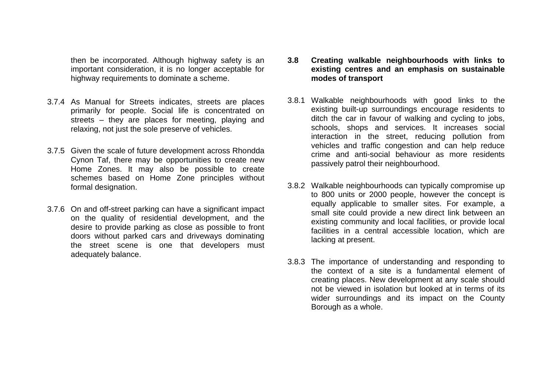then be incorporated. Although highway safety is an important consideration, it is no longer acceptable for highway requirements to dominate a scheme.

- 3.7.4 As Manual for Streets indicates, streets are places primarily for people. Social life is concentrated on streets – they are places for meeting, playing and relaxing, not just the sole preserve of vehicles.
- 3.7.5 Given the scale of future development across Rhondda Cynon Taf, there may be opportunities to create new Home Zones. It may also be possible to create schemes based on Home Zone principles without formal designation.
- 3.7.6 On and off-street parking can have a significant impact on the quality of residential development, and the desire to provide parking as close as possible to front doors without parked cars and driveways dominating the street scene is one that developers must adequately balance.
- **3.8 Creating walkable neighbourhoods with links to existing centres and an emphasis on sustainable modes of transport**
- 3.8.1 Walkable neighbourhoods with good links to the existing built-up surroundings encourage residents to ditch the car in favour of walking and cycling to jobs, schools, shops and services. It increases social interaction in the street, reducing pollution from vehicles and traffic congestion and can help reduce crime and anti-social behaviour as more residents passively patrol their neighbourhood.
- 3.8.2 Walkable neighbourhoods can typically compromise up to 800 units or 2000 people, however the concept is equally applicable to smaller sites. For example, a small site could provide a new direct link between an existing community and local facilities, or provide local facilities in a central accessible location, which are lacking at present.
- 3.8.3 The importance of understanding and responding to the context of a site is a fundamental element of creating places. New development at any scale should not be viewed in isolation but looked at in terms of its wider surroundings and its impact on the County Borough as a whole.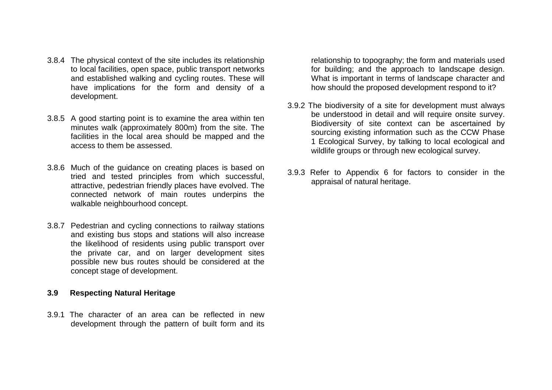- 3.8.4 The physical context of the site includes its relationship to local facilities, open space, public transport networks and established walking and cycling routes. These will have implications for the form and density of a development.
- 3.8.5 A good starting point is to examine the area within ten minutes walk (approximately 800m) from the site. The facilities in the local area should be mapped and the access to them be assessed.
- 3.8.6 Much of the guidance on creating places is based on tried and tested principles from which successful, attractive, pedestrian friendly places have evolved. The connected network of main routes underpins the walkable neighbourhood concept.
- 3.8.7 Pedestrian and cycling connections to railway stations and existing bus stops and stations will also increase the likelihood of residents using public transport over the private car, and on larger development sites possible new bus routes should be considered at the concept stage of development.

#### **3.9 Respecting Natural Heritage**

3.9.1 The character of an area can be reflected in new development through the pattern of built form and its relationship to topography; the form and materials used for building; and the approach to landscape design. What is important in terms of landscape character and how should the proposed development respond to it?

- 3.9.2 The biodiversity of a site for development must always be understood in detail and will require onsite survey. Biodiversity of site context can be ascertained by sourcing existing information such as the CCW Phase 1 Ecological Survey, by talking to local ecological and wildlife groups or through new ecological survey.
- 3.9.3 Refer to Appendix 6 for factors to consider in the appraisal of natural heritage.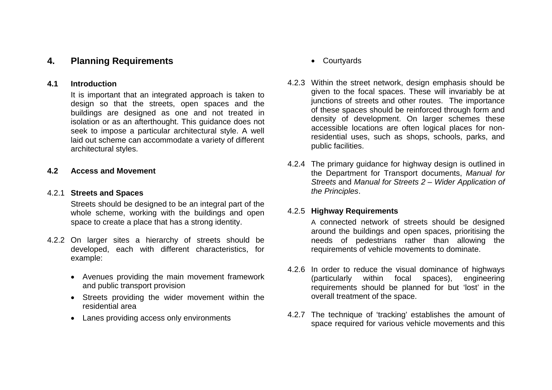# **4. Planning Requirements**

#### **4.1 Introduction**

It is important that an integrated approach is taken to design so that the streets, open spaces and the buildings are designed as one and not treated in isolation or as an afterthought. This guidance does not seek to impose a particular architectural style. A well laid out scheme can accommodate a variety of different architectural styles.

# **4.2 Access and Movement**

#### 4.2.1 **Streets and Spaces**

Streets should be designed to be an integral part of the whole scheme, working with the buildings and open space to create a place that has a strong identity.

- 4.2.2 On larger sites a hierarchy of streets should be developed, each with different characteristics, for example:
	- Avenues providing the main movement framework and public transport provision
	- Streets providing the wider movement within the residential area
	- Lanes providing access only environments
- Courtvards
- 4.2.3 Within the street network, design emphasis should be given to the focal spaces. These will invariably be at junctions of streets and other routes. The importance of these spaces should be reinforced through form and density of development. On larger schemes these accessible locations are often logical places for nonresidential uses, such as shops, schools, parks, and public facilities.
- 4.2.4 The primary guidance for highway design is outlined in the Department for Transport documents, *Manual for Streets* and *Manual for Streets 2 – Wider Application of the Principles*.

# 4.2.5 **Highway Requirements**

A connected network of streets should be designed around the buildings and open spaces, prioritising the needs of pedestrians rather than allowing the requirements of vehicle movements to dominate.

- 4.2.6 In order to reduce the visual dominance of highways (particularly within focal spaces), engineering requirements should be planned for but 'lost' in the overall treatment of the space.
- 4.2.7 The technique of 'tracking' establishes the amount of space required for various vehicle movements and this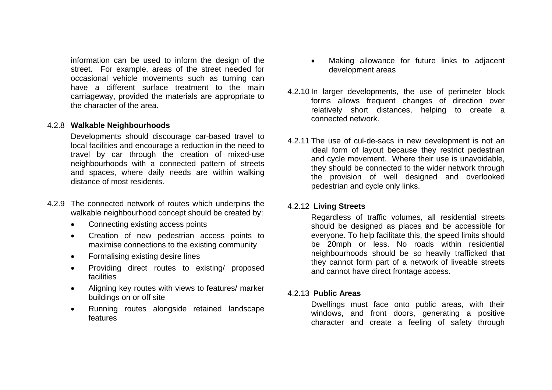information can be used to inform the design of the street. For example, areas of the street needed for occasional vehicle movements such as turning can have a different surface treatment to the main carriageway, provided the materials are appropriate to the character of the area.

#### 4.2.8 **Walkable Neighbourhoods**

Developments should discourage car-based travel to local facilities and encourage a reduction in the need to travel by car through the creation of mixed-use neighbourhoods with a connected pattern of streets and spaces, where daily needs are within walking distance of most residents.

- 4.2.9 The connected network of routes which underpins the walkable neighbourhood concept should be created by:
	- Connecting existing access points
	- Creation of new pedestrian access points to maximise connections to the existing community
	- Formalising existing desire lines
	- Providing direct routes to existing/ proposed facilities
	- Aligning key routes with views to features/ marker buildings on or off site
	- Running routes alongside retained landscape features
- Making allowance for future links to adjacent development areas
- 4.2.10 In larger developments, the use of perimeter block forms allows frequent changes of direction over relatively short distances, helping to create a connected network.
- 4.2.11 The use of cul-de-sacs in new development is not an ideal form of layout because they restrict pedestrian and cycle movement. Where their use is unavoidable, they should be connected to the wider network through the provision of well designed and overlooked pedestrian and cycle only links.

#### 4.2.12 **Living Streets**

Regardless of traffic volumes, all residential streets should be designed as places and be accessible for everyone. To help facilitate this, the speed limits should be 20mph or less. No roads within residential neighbourhoods should be so heavily trafficked that they cannot form part of a network of liveable streets and cannot have direct frontage access.

#### 4.2.13 **Public Areas**

Dwellings must face onto public areas, with their windows, and front doors, generating a positive character and create a feeling of safety through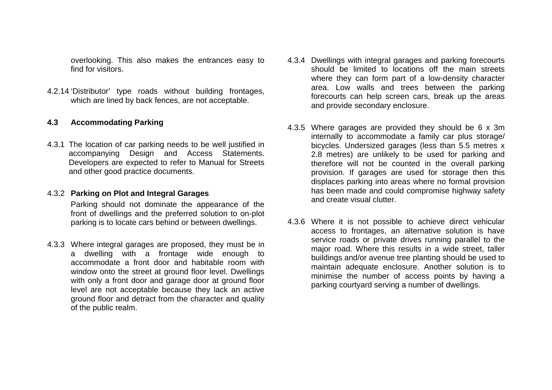overlooking. This also makes the entrances easy to find for visitors.

4.2.14 'Distributor' type roads without building frontages, which are lined by back fences, are not acceptable.

#### **4.3 Accommodating Parking**

4.3.1 The location of car parking needs to be well justified in accompanying Design and Access Statements. Developers are expected to refer to Manual for Streets and other good practice documents.

#### 4.3.2 **Parking on Plot and Integral Garages**

Parking should not dominate the appearance of the front of dwellings and the preferred solution to on-plot parking is to locate cars behind or between dwellings.

4.3.3 Where integral garages are proposed, they must be in a dwelling with a frontage wide enough to accommodate a front door and habitable room with window onto the street at ground floor level. Dwellings with only a front door and garage door at ground floor level are not acceptable because they lack an active ground floor and detract from the character and quality of the public realm.

- 4.3.4 Dwellings with integral garages and parking forecourts should be limited to locations off the main streets where they can form part of a low-density character area. Low walls and trees between the parking forecourts can help screen cars, break up the areas and provide secondary enclosure.
- 4.3.5 Where garages are provided they should be 6 x 3m internally to accommodate a family car plus storage/ bicycles. Undersized garages (less than 5.5 metres x 2.8 metres) are unlikely to be used for parking and therefore will not be counted in the overall parking provision. If garages are used for storage then this displaces parking into areas where no formal provision has been made and could compromise highway safety and create visual clutter.
- 4.3.6 Where it is not possible to achieve direct vehicular access to frontages, an alternative solution is have service roads or private drives running parallel to the major road. Where this results in a wide street, taller buildings and/or avenue tree planting should be used to maintain adequate enclosure. Another solution is to minimise the number of access points by having a parking courtyard serving a number of dwellings.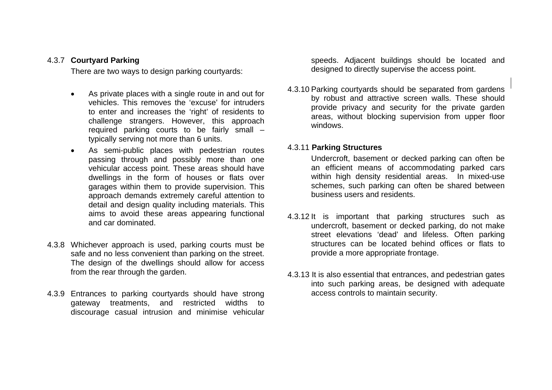# 4.3.7 **Courtyard Parking**

There are two ways to design parking courtyards:

- As private places with a single route in and out for vehicles. This removes the 'excuse' for intruders to enter and increases the 'right' of residents to challenge strangers. However, this approach required parking courts to be fairly small – typically serving not more than 6 units.
- As semi-public places with pedestrian routes passing through and possibly more than one vehicular access point. These areas should have dwellings in the form of houses or flats over garages within them to provide supervision. This approach demands extremely careful attention to detail and design quality including materials. This aims to avoid these areas appearing functional and car dominated.
- 4.3.8 Whichever approach is used, parking courts must be safe and no less convenient than parking on the street. The design of the dwellings should allow for access from the rear through the garden.
- 4.3.9 Entrances to parking courtyards should have strong gateway treatments, and restricted widths to discourage casual intrusion and minimise vehicular

speeds. Adjacent buildings should be located and designed to directly supervise the access point.

4.3.10 Parking courtyards should be separated from gardens by robust and attractive screen walls. These should provide privacy and security for the private garden areas, without blocking supervision from upper floor windows.

## 4.3.11 **Parking Structures**

Undercroft, basement or decked parking can often be an efficient means of accommodating parked cars within high density residential areas. In mixed-use schemes, such parking can often be shared between business users and residents.

- 4.3.12 It is important that parking structures such as undercroft, basement or decked parking, do not make street elevations 'dead' and lifeless. Often parking structures can be located behind offices or flats to provide a more appropriate frontage.
- 4.3.13 It is also essential that entrances, and pedestrian gates into such parking areas, be designed with adequate access controls to maintain security.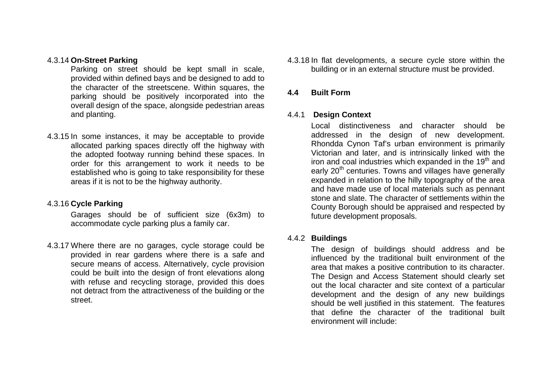#### 4.3.14 **On-Street Parking**

Parking on street should be kept small in scale, provided within defined bays and be designed to add to the character of the streetscene. Within squares, the parking should be positively incorporated into the overall design of the space, alongside pedestrian areas and planting.

4.3.15 In some instances, it may be acceptable to provide allocated parking spaces directly off the highway with the adopted footway running behind these spaces. In order for this arrangement to work it needs to be established who is going to take responsibility for these areas if it is not to be the highway authority.

# 4.3.16 **Cycle Parking**

Garages should be of sufficient size (6x3m) to accommodate cycle parking plus a family car.

4.3.17 Where there are no garages, cycle storage could be provided in rear gardens where there is a safe and secure means of access. Alternatively, cycle provision could be built into the design of front elevations along with refuse and recycling storage, provided this does not detract from the attractiveness of the building or the street.

4.3.18 In flat developments, a secure cycle store within the building or in an external structure must be provided.

#### **4.4 Built Form**

## 4.4.1 **Design Context**

Local distinctiveness and character should be addressed in the design of new development. Rhondda Cynon Taf's urban environment is primarily Victorian and later, and is intrinsically linked with the iron and coal industries which expanded in the  $19<sup>th</sup>$  and early 20<sup>th</sup> centuries. Towns and villages have generally expanded in relation to the hilly topography of the area and have made use of local materials such as pennant stone and slate. The character of settlements within the County Borough should be appraised and respected by future development proposals.

#### 4.4.2 **Buildings**

The design of buildings should address and be influenced by the traditional built environment of the area that makes a positive contribution to its character. The Design and Access Statement should clearly set out the local character and site context of a particular development and the design of any new buildings should be well justified in this statement. The features that define the character of the traditional built environment will include: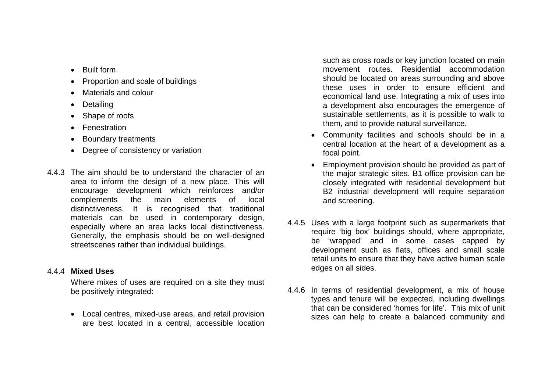- Built form
- Proportion and scale of buildings
- Materials and colour
- Detailing
- Shape of roofs
- **Fenestration**
- Boundary treatments
- Degree of consistency or variation
- 4.4.3 The aim should be to understand the character of an area to inform the design of a new place. This will encourage development which reinforces and/or complements the main elements of local distinctiveness. It is recognised that traditional materials can be used in contemporary design, especially where an area lacks local distinctiveness. Generally, the emphasis should be on well-designed streetscenes rather than individual buildings.

# 4.4.4 **Mixed Uses**

Where mixes of uses are required on a site they must be positively integrated:

 Local centres, mixed-use areas, and retail provision are best located in a central, accessible location such as cross roads or key junction located on main movement routes. Residential accommodation should be located on areas surrounding and above these uses in order to ensure efficient and economical land use. Integrating a mix of uses into a development also encourages the emergence of sustainable settlements, as it is possible to walk to them, and to provide natural surveillance.

- Community facilities and schools should be in a central location at the heart of a development as a focal point.
- Employment provision should be provided as part of the major strategic sites. B1 office provision can be closely integrated with residential development but B2 industrial development will require separation and screening.
- 4.4.5 Uses with a large footprint such as supermarkets that require 'big box' buildings should, where appropriate, be 'wrapped' and in some cases capped by development such as flats, offices and small scale retail units to ensure that they have active human scale edges on all sides.
- 4.4.6 In terms of residential development, a mix of house types and tenure will be expected, including dwellings that can be considered 'homes for life'. This mix of unit sizes can help to create a balanced community and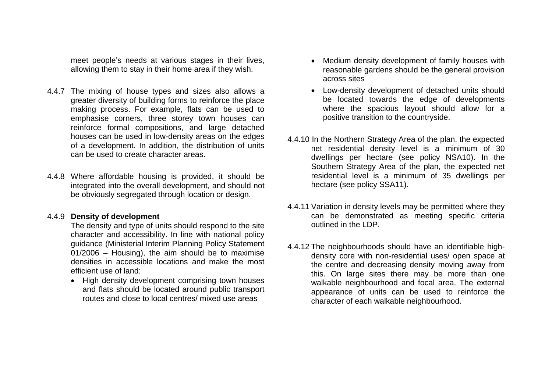meet people's needs at various stages in their lives, allowing them to stay in their home area if they wish.

- 4.4.7 The mixing of house types and sizes also allows a greater diversity of building forms to reinforce the place making process. For example, flats can be used to emphasise corners, three storey town houses can reinforce formal compositions, and large detached houses can be used in low-density areas on the edges of a development. In addition, the distribution of units can be used to create character areas.
- 4.4.8 Where affordable housing is provided, it should be integrated into the overall development, and should not be obviously segregated through location or design.

#### 4.4.9 **Density of development**

The density and type of units should respond to the site character and accessibility. In line with national policy guidance (Ministerial Interim Planning Policy Statement 01/2006 – Housing), the aim should be to maximise densities in accessible locations and make the most efficient use of land:

• High density development comprising town houses and flats should be located around public transport routes and close to local centres/ mixed use areas

- Medium density development of family houses with reasonable gardens should be the general provision across sites
- Low-density development of detached units should be located towards the edge of developments where the spacious layout should allow for a positive transition to the countryside.
- 4.4.10 In the Northern Strategy Area of the plan, the expected net residential density level is a minimum of 30 dwellings per hectare (see policy NSA10). In the Southern Strategy Area of the plan, the expected net residential level is a minimum of 35 dwellings per hectare (see policy SSA11).
- 4.4.11 Variation in density levels may be permitted where they can be demonstrated as meeting specific criteria outlined in the LDP.
- 4.4.12 The neighbourhoods should have an identifiable highdensity core with non-residential uses/ open space at the centre and decreasing density moving away from this. On large sites there may be more than one walkable neighbourhood and focal area. The external appearance of units can be used to reinforce the character of each walkable neighbourhood.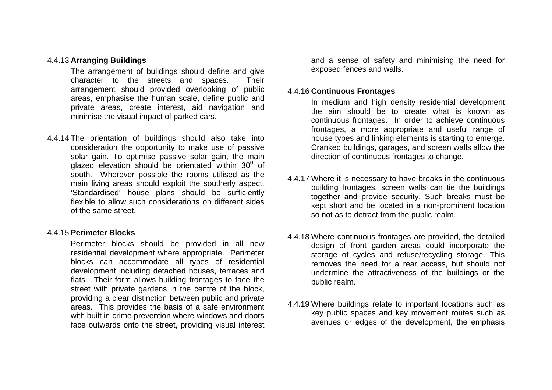#### 4.4.13 **Arranging Buildings**

The arrangement of buildings should define and give character to the streets and spaces. Their arrangement should provided overlooking of public areas, emphasise the human scale, define public and private areas, create interest, aid navigation and minimise the visual impact of parked cars.

4.4.14 The orientation of buildings should also take into consideration the opportunity to make use of passive solar gain. To optimise passive solar gain, the main glazed elevation should be orientated within  $30^0$  of south. Wherever possible the rooms utilised as the main living areas should exploit the southerly aspect. 'Standardised' house plans should be sufficiently flexible to allow such considerations on different sides of the same street.

#### 4.4.15 **Perimeter Blocks**

Perimeter blocks should be provided in all new residential development where appropriate. Perimeter blocks can accommodate all types of residential development including detached houses, terraces and flats. Their form allows building frontages to face the street with private gardens in the centre of the block, providing a clear distinction between public and private areas. This provides the basis of a safe environment with built in crime prevention where windows and doors face outwards onto the street, providing visual interest and a sense of safety and minimising the need for exposed fences and walls.

#### 4.4.16 **Continuous Frontages**

In medium and high density residential development the aim should be to create what is known as continuous frontages. In order to achieve continuous frontages, a more appropriate and useful range of house types and linking elements is starting to emerge. Cranked buildings, garages, and screen walls allow the direction of continuous frontages to change.

- 4.4.17 Where it is necessary to have breaks in the continuous building frontages, screen walls can tie the buildings together and provide security. Such breaks must be kept short and be located in a non-prominent location so not as to detract from the public realm.
- 4.4.18 Where continuous frontages are provided, the detailed design of front garden areas could incorporate the storage of cycles and refuse/recycling storage. This removes the need for a rear access, but should not undermine the attractiveness of the buildings or the public realm.
- 4.4.19 Where buildings relate to important locations such as key public spaces and key movement routes such as avenues or edges of the development, the emphasis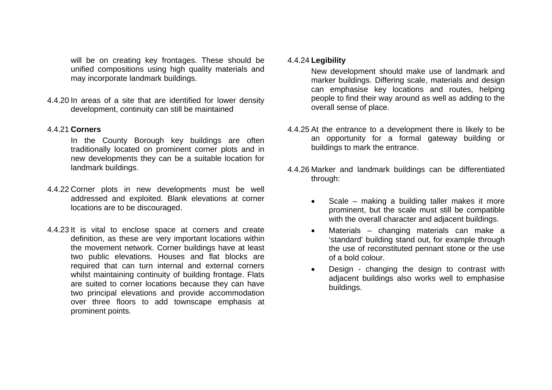will be on creating key frontages. These should be unified compositions using high quality materials and may incorporate landmark buildings.

4.4.20 In areas of a site that are identified for lower density development, continuity can still be maintained

#### 4.4.21 **Corners**

In the County Borough key buildings are often traditionally located on prominent corner plots and in new developments they can be a suitable location for landmark buildings.

- 4.4.22 Corner plots in new developments must be well addressed and exploited. Blank elevations at corner locations are to be discouraged.
- 4.4.23 It is vital to enclose space at corners and create definition, as these are very important locations within the movement network. Corner buildings have at least two public elevations. Houses and flat blocks are required that can turn internal and external corners whilst maintaining continuity of building frontage. Flats are suited to corner locations because they can have two principal elevations and provide accommodation over three floors to add townscape emphasis at prominent points.

#### 4.4.24 **Legibility**

New development should make use of landmark and marker buildings. Differing scale, materials and design can emphasise key locations and routes, helping people to find their way around as well as adding to the overall sense of place.

- 4.4.25 At the entrance to a development there is likely to be an opportunity for a formal gateway building or buildings to mark the entrance.
- 4.4.26 Marker and landmark buildings can be differentiated through:
	- Scale making a building taller makes it more prominent, but the scale must still be compatible with the overall character and adjacent buildings.
	- Materials changing materials can make a 'standard' building stand out, for example through the use of reconstituted pennant stone or the use of a bold colour.
	- Design changing the design to contrast with adjacent buildings also works well to emphasise buildings.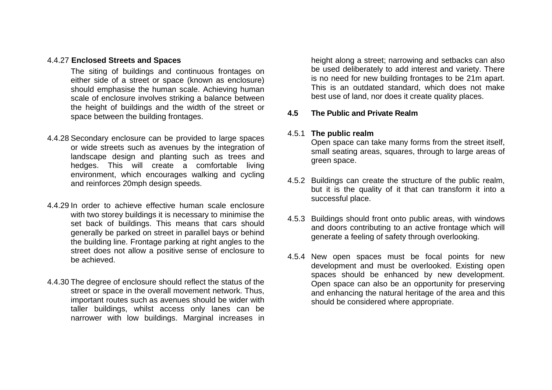#### 4.4.27 **Enclosed Streets and Spaces**

The siting of buildings and continuous frontages on either side of a street or space (known as enclosure) should emphasise the human scale. Achieving human scale of enclosure involves striking a balance between the height of buildings and the width of the street or space between the building frontages.

- 4.4.28 Secondary enclosure can be provided to large spaces or wide streets such as avenues by the integration of landscape design and planting such as trees and hedges. This will create a comfortable living environment, which encourages walking and cycling and reinforces 20mph design speeds.
- 4.4.29 In order to achieve effective human scale enclosure with two storey buildings it is necessary to minimise the set back of buildings. This means that cars should generally be parked on street in parallel bays or behind the building line. Frontage parking at right angles to the street does not allow a positive sense of enclosure to be achieved.
- 4.4.30 The degree of enclosure should reflect the status of the street or space in the overall movement network. Thus, important routes such as avenues should be wider with taller buildings, whilst access only lanes can be narrower with low buildings. Marginal increases in

height along a street; narrowing and setbacks can also be used deliberately to add interest and variety. There is no need for new building frontages to be 21m apart. This is an outdated standard, which does not make best use of land, nor does it create quality places.

# **4.5 The Public and Private Realm**

#### 4.5.1 **The public realm**

Open space can take many forms from the street itself, small seating areas, squares, through to large areas of green space.

- 4.5.2 Buildings can create the structure of the public realm, but it is the quality of it that can transform it into a successful place.
- 4.5.3 Buildings should front onto public areas, with windows and doors contributing to an active frontage which will generate a feeling of safety through overlooking.
- 4.5.4 New open spaces must be focal points for new development and must be overlooked. Existing open spaces should be enhanced by new development. Open space can also be an opportunity for preserving and enhancing the natural heritage of the area and this should be considered where appropriate.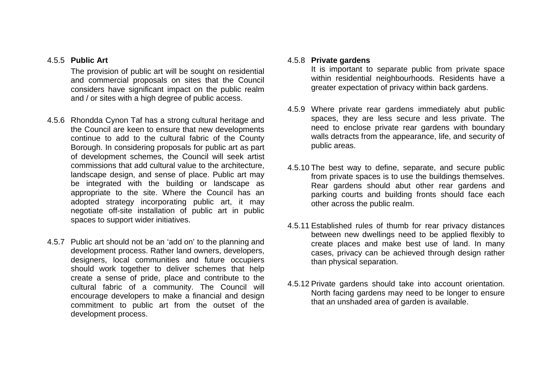#### 4.5.5 **Public Art**

The provision of public art will be sought on residential and commercial proposals on sites that the Council considers have significant impact on the public realm and / or sites with a high degree of public access.

- 4.5.6 Rhondda Cynon Taf has a strong cultural heritage and the Council are keen to ensure that new developments continue to add to the cultural fabric of the County Borough. In considering proposals for public art as part of development schemes, the Council will seek artist commissions that add cultural value to the architecture, landscape design, and sense of place. Public art may be integrated with the building or landscape as appropriate to the site. Where the Council has an adopted strategy incorporating public art, it may negotiate off-site installation of public art in public spaces to support wider initiatives.
- 4.5.7 Public art should not be an 'add on' to the planning and development process. Rather land owners, developers, designers, local communities and future occupiers should work together to deliver schemes that help create a sense of pride, place and contribute to the cultural fabric of a community. The Council will encourage developers to make a financial and design commitment to public art from the outset of the development process.

#### 4.5.8 **Private gardens**

It is important to separate public from private space within residential neighbourhoods. Residents have a greater expectation of privacy within back gardens.

- 4.5.9 Where private rear gardens immediately abut public spaces, they are less secure and less private. The need to enclose private rear gardens with boundary walls detracts from the appearance, life, and security of public areas.
- 4.5.10 The best way to define, separate, and secure public from private spaces is to use the buildings themselves. Rear gardens should abut other rear gardens and parking courts and building fronts should face each other across the public realm.
- 4.5.11 Established rules of thumb for rear privacy distances between new dwellings need to be applied flexibly to create places and make best use of land. In many cases, privacy can be achieved through design rather than physical separation.
- 4.5.12 Private gardens should take into account orientation. North facing gardens may need to be longer to ensure that an unshaded area of garden is available.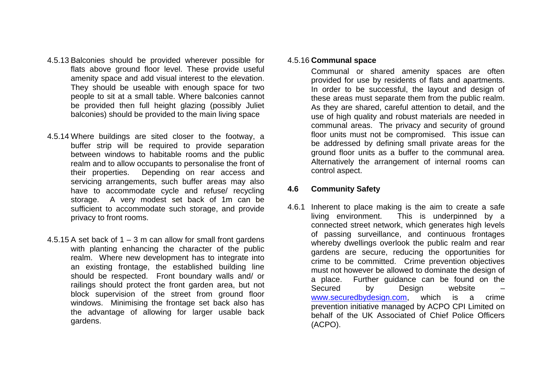- 4.5.13 Balconies should be provided wherever possible for flats above ground floor level. These provide useful amenity space and add visual interest to the elevation. They should be useable with enough space for two people to sit at a small table. Where balconies cannot be provided then full height glazing (possibly Juliet balconies) should be provided to the main living space
- 4.5.14 Where buildings are sited closer to the footway, a buffer strip will be required to provide separation between windows to habitable rooms and the public realm and to allow occupants to personalise the front of their properties. Depending on rear access and servicing arrangements, such buffer areas may also have to accommodate cycle and refuse/ recycling storage. A very modest set back of 1m can be sufficient to accommodate such storage, and provide privacy to front rooms.
- 4.5.15 A set back of  $1 3$  m can allow for small front gardens with planting enhancing the character of the public realm. Where new development has to integrate into an existing frontage, the established building line should be respected. Front boundary walls and/ or railings should protect the front garden area, but not block supervision of the street from ground floor windows. Minimising the frontage set back also has the advantage of allowing for larger usable back gardens.

#### 4.5.16 **Communal space**

Communal or shared amenity spaces are often provided for use by residents of flats and apartments. In order to be successful, the layout and design of these areas must separate them from the public realm. As they are shared, careful attention to detail, and the use of high quality and robust materials are needed in communal areas. The privacy and security of ground floor units must not be compromised. This issue can be addressed by defining small private areas for the ground floor units as a buffer to the communal area. Alternatively the arrangement of internal rooms can control aspect.

## **4.6 Community Safety**

4.6.1 Inherent to place making is the aim to create a safe living environment. This is underpinned by a connected street network, which generates high levels of passing surveillance, and continuous frontages whereby dwellings overlook the public realm and rear gardens are secure, reducing the opportunities for crime to be committed. Crime prevention objectives must not however be allowed to dominate the design of a place. Further guidance can be found on the Secured by Design website www.securedbydesign.com, which is a crime prevention initiative managed by ACPO CPI Limited on behalf of the UK Associated of Chief Police Officers (ACPO).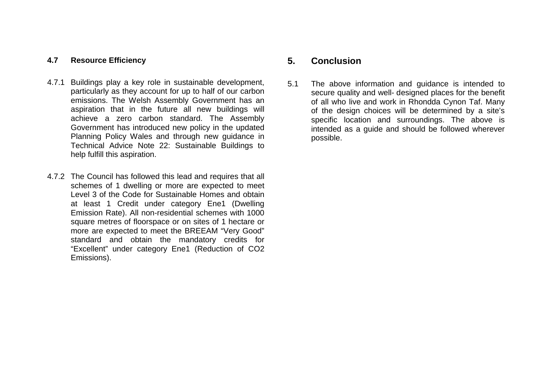#### **4.7 Resource Efficiency**

- 4.7.1 Buildings play a key role in sustainable development, particularly as they account for up to half of our carbon emissions. The Welsh Assembly Government has an aspiration that in the future all new buildings will achieve a zero carbon standard. The Assembly Government has introduced new policy in the updated Planning Policy Wales and through new guidance in Technical Advice Note 22: Sustainable Buildings to help fulfill this aspiration.
- 4.7.2 The Council has followed this lead and requires that all schemes of 1 dwelling or more are expected to meet Level 3 of the Code for Sustainable Homes and obtain at least 1 Credit under category Ene1 (Dwelling Emission Rate). All non-residential schemes with 1000 square metres of floorspace or on sites of 1 hectare or more are expected to meet the BREEAM "Very Good" standard and obtain the mandatory credits for "Excellent" under category Ene1 (Reduction of CO2 Emissions).

# **5. Conclusion**

5.1 The above information and guidance is intended to secure quality and well- designed places for the benefit of all who live and work in Rhondda Cynon Taf. Many of the design choices will be determined by a site's specific location and surroundings. The above is intended as a guide and should be followed wherever possible.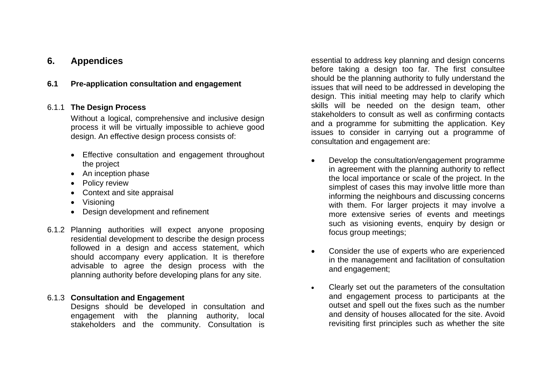# **6. Appendices**

# **6.1 Pre-application consultation and engagement**

## 6.1.1 **The Design Process**

Without a logical, comprehensive and inclusive design process it will be virtually impossible to achieve good design. An effective design process consists of:

- Effective consultation and engagement throughout the project
- An inception phase
- Policy review
- Context and site appraisal
- Visioning
- Design development and refinement
- 6.1.2 Planning authorities will expect anyone proposing residential development to describe the design process followed in a design and access statement, which should accompany every application. It is therefore advisable to agree the design process with the planning authority before developing plans for any site.

# 6.1.3 **Consultation and Engagement**

Designs should be developed in consultation and engagement with the planning authority, local stakeholders and the community. Consultation is

essential to address key planning and design concerns before taking a design too far. The first consultee should be the planning authority to fully understand the issues that will need to be addressed in developing the design. This initial meeting may help to clarify which skills will be needed on the design team, other stakeholders to consult as well as confirming contacts and a programme for submitting the application. Key issues to consider in carrying out a programme of consultation and engagement are:

- Develop the consultation/engagement programme in agreement with the planning authority to reflect the local importance or scale of the project. In the simplest of cases this may involve little more than informing the neighbours and discussing concerns with them. For larger projects it may involve a more extensive series of events and meetings such as visioning events, enquiry by design or focus group meetings;
- Consider the use of experts who are experienced in the management and facilitation of consultation and engagement;
- Clearly set out the parameters of the consultation and engagement process to participants at the outset and spell out the fixes such as the number and density of houses allocated for the site. Avoid revisiting first principles such as whether the site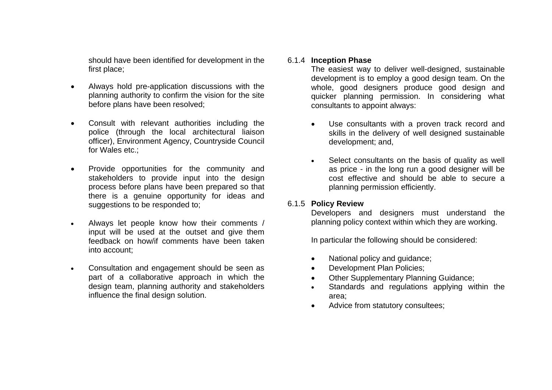should have been identified for development in the first place;

- Always hold pre-application discussions with the planning authority to confirm the vision for the site before plans have been resolved;
- Consult with relevant authorities including the police (through the local architectural liaison officer), Environment Agency, Countryside Council for Wales etc.;
- Provide opportunities for the community and stakeholders to provide input into the design process before plans have been prepared so that there is a genuine opportunity for ideas and suggestions to be responded to;
- Always let people know how their comments / input will be used at the outset and give them feedback on how/if comments have been taken into account;
- Consultation and engagement should be seen as part of a collaborative approach in which the design team, planning authority and stakeholders influence the final design solution.

#### 6.1.4 **Inception Phase**

The easiest way to deliver well-designed, sustainable development is to employ a good design team. On the whole, good designers produce good design and quicker planning permission. In considering what consultants to appoint always:

- Use consultants with a proven track record and skills in the delivery of well designed sustainable development; and,
- Select consultants on the basis of quality as well as price - in the long run a good designer will be cost effective and should be able to secure a planning permission efficiently.

# 6.1.5 **Policy Review**

Developers and designers must understand the planning policy context within which they are working.

In particular the following should be considered:

- National policy and guidance;
- Development Plan Policies;
- Other Supplementary Planning Guidance:
- Standards and regulations applying within the area;
- Advice from statutory consultees;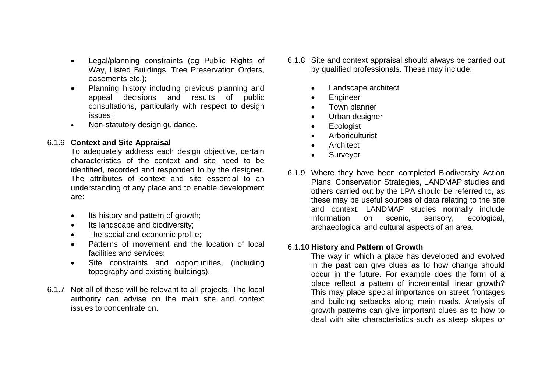- Legal/planning constraints (eg Public Rights of Way, Listed Buildings, Tree Preservation Orders, easements etc.);
- Planning history including previous planning and appeal decisions and results of public consultations, particularly with respect to design issues;
- Non-statutory design guidance.

# 6.1.6 **Context and Site Appraisal**

To adequately address each design objective, certain characteristics of the context and site need to be identified, recorded and responded to by the designer. The attributes of context and site essential to an understanding of any place and to enable development are:

- Its history and pattern of growth:
- Its landscape and biodiversity;
- The social and economic profile;
- Patterns of movement and the location of local facilities and services;
- Site constraints and opportunities, (including topography and existing buildings).
- 6.1.7 Not all of these will be relevant to all projects. The local authority can advise on the main site and context issues to concentrate on.
- 6.1.8 Site and context appraisal should always be carried out by qualified professionals. These may include:
	- Landscape architect
	- Engineer
	- Town planner
	- Urban designer
	- **Ecologist**
	- **Arboriculturist**
	- **Architect**
	- Surveyor
- 6.1.9 Where they have been completed Biodiversity Action Plans, Conservation Strategies, LANDMAP studies and others carried out by the LPA should be referred to, as these may be useful sources of data relating to the site and context. LANDMAP studies normally include information on scenic, sensory, ecological, archaeological and cultural aspects of an area.

# 6.1.10 **History and Pattern of Growth**

The way in which a place has developed and evolved in the past can give clues as to how change should occur in the future. For example does the form of a place reflect a pattern of incremental linear growth? This may place special importance on street frontages and building setbacks along main roads. Analysis of growth patterns can give important clues as to how to deal with site characteristics such as steep slopes or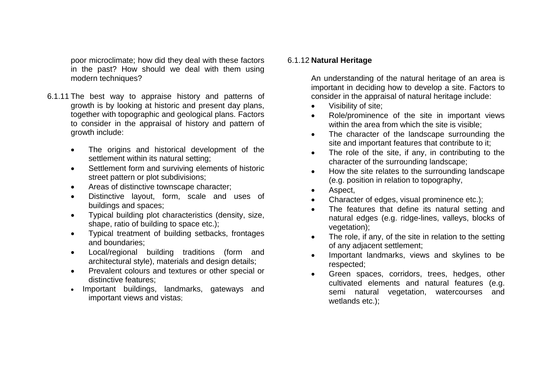poor microclimate; how did they deal with these factors in the past? How should we deal with them using modern techniques?

- 6.1.11 The best way to appraise history and patterns of growth is by looking at historic and present day plans, together with topographic and geological plans. Factors to consider in the appraisal of history and pattern of growth include:
	- The origins and historical development of the settlement within its natural setting;
	- Settlement form and surviving elements of historic street pattern or plot subdivisions;
	- Areas of distinctive townscape character;
	- Distinctive layout, form, scale and uses of buildings and spaces;
	- Typical building plot characteristics (density, size, shape, ratio of building to space etc.);
	- Typical treatment of building setbacks, frontages and boundaries;
	- Local/regional building traditions (form and architectural style), materials and design details;
	- Prevalent colours and textures or other special or distinctive features;
	- Important buildings, landmarks, gateways and important views and vistas;

#### 6.1.12 **Natural Heritage**

An understanding of the natural heritage of an area is important in deciding how to develop a site. Factors to consider in the appraisal of natural heritage include:

- Visibility of site:
- Role/prominence of the site in important views within the area from which the site is visible:
- The character of the landscape surrounding the site and important features that contribute to it;
- The role of the site, if any, in contributing to the character of the surrounding landscape;
- How the site relates to the surrounding landscape (e.g. position in relation to topography,
- Aspect,
- Character of edges, visual prominence etc.);
- The features that define its natural setting and natural edges (e.g. ridge-lines, valleys, blocks of vegetation);
- The role, if any, of the site in relation to the setting of any adjacent settlement;
- Important landmarks, views and skylines to be respected;
- Green spaces, corridors, trees, hedges, other cultivated elements and natural features (e.g. semi natural vegetation, watercourses and wetlands etc.);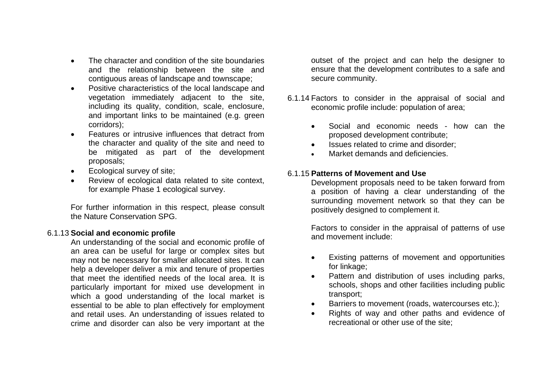- The character and condition of the site boundaries and the relationship between the site and contiguous areas of landscape and townscape;
- Positive characteristics of the local landscape and vegetation immediately adjacent to the site, including its quality, condition, scale, enclosure, and important links to be maintained (e.g. green corridors);
- Features or intrusive influences that detract from the character and quality of the site and need to be mitigated as part of the development proposals;
- Ecological survey of site;
- Review of ecological data related to site context, for example Phase 1 ecological survey.

For further information in this respect, please consult the Nature Conservation SPG.

# 6.1.13 **Social and economic profile**

An understanding of the social and economic profile of an area can be useful for large or complex sites but may not be necessary for smaller allocated sites. It can help a developer deliver a mix and tenure of properties that meet the identified needs of the local area. It is particularly important for mixed use development in which a good understanding of the local market is essential to be able to plan effectively for employment and retail uses. An understanding of issues related to crime and disorder can also be very important at the

outset of the project and can help the designer to ensure that the development contributes to a safe and secure community.

- 6.1.14 Factors to consider in the appraisal of social and economic profile include: population of area;
	- Social and economic needs how can the proposed development contribute;
	- Issues related to crime and disorder;
	- Market demands and deficiencies.

## 6.1.15 **Patterns of Movement and Use**

Development proposals need to be taken forward from a position of having a clear understanding of the surrounding movement network so that they can be positively designed to complement it.

Factors to consider in the appraisal of patterns of use and movement include:

- Existing patterns of movement and opportunities for linkage;
- Pattern and distribution of uses including parks, schools, shops and other facilities including public transport;
- **Barriers to movement (roads, watercourses etc.);**
- Rights of way and other paths and evidence of recreational or other use of the site;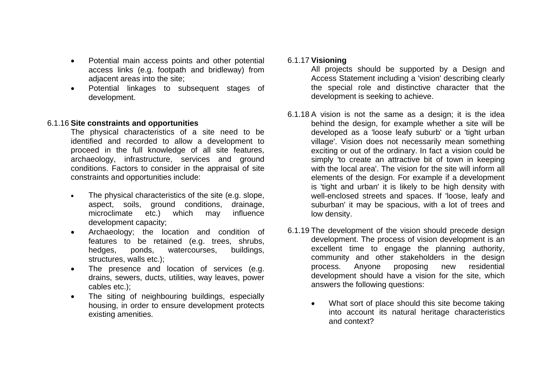- Potential main access points and other potential access links (e.g. footpath and bridleway) from adjacent areas into the site;
- Potential linkages to subsequent stages of development.

## 6.1.16 **Site constraints and opportunities**

The physical characteristics of a site need to be identified and recorded to allow a development to proceed in the full knowledge of all site features, archaeology, infrastructure, services and ground conditions. Factors to consider in the appraisal of site constraints and opportunities include:

- The physical characteristics of the site (e.g. slope, aspect, soils, ground conditions, drainage, microclimate etc.) which may influence development capacity;
- Archaeology; the location and condition of features to be retained (e.g. trees, shrubs, hedges, ponds, watercourses, buildings, structures, walls etc.);
- The presence and location of services (e.g. drains, sewers, ducts, utilities, way leaves, power cables etc.);
- The siting of neighbouring buildings, especially housing, in order to ensure development protects existing amenities.

# 6.1.17 **Visioning**

All projects should be supported by a Design and Access Statement including a 'vision' describing clearly the special role and distinctive character that the development is seeking to achieve.

- 6.1.18 A vision is not the same as a design; it is the idea behind the design, for example whether a site will be developed as a 'loose leafy suburb' or a 'tight urban village'. Vision does not necessarily mean something exciting or out of the ordinary. In fact a vision could be simply 'to create an attractive bit of town in keeping with the local area'. The vision for the site will inform all elements of the design. For example if a development is 'tight and urban' it is likely to be high density with well-enclosed streets and spaces. If 'loose, leafy and suburban' it may be spacious, with a lot of trees and low density.
- 6.1.19 The development of the vision should precede design development. The process of vision development is an excellent time to engage the planning authority, community and other stakeholders in the design process. Anyone proposing new residential development should have a vision for the site, which answers the following questions:
	- What sort of place should this site become taking into account its natural heritage characteristics and context?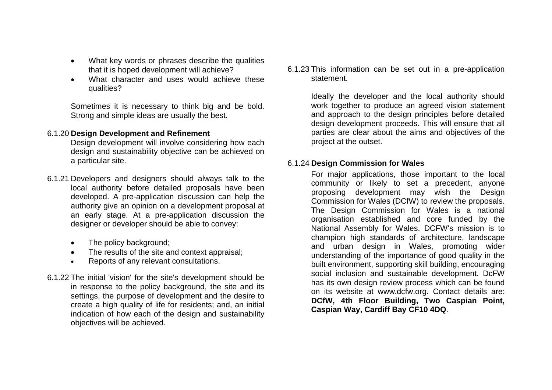- What key words or phrases describe the qualities that it is hoped development will achieve?
- What character and uses would achieve these qualities?

Sometimes it is necessary to think big and be bold. Strong and simple ideas are usually the best.

## 6.1.20 **Design Development and Refinement**

Design development will involve considering how each design and sustainability objective can be achieved on a particular site.

- 6.1.21 Developers and designers should always talk to the local authority before detailed proposals have been developed. A pre-application discussion can help the authority give an opinion on a development proposal at an early stage. At a pre-application discussion the designer or developer should be able to convey:
	- The policy background;
	- The results of the site and context appraisal;
	- Reports of any relevant consultations.
- 6.1.22 The initial 'vision' for the site's development should be in response to the policy background, the site and its settings, the purpose of development and the desire to create a high quality of life for residents; and, an initial indication of how each of the design and sustainability objectives will be achieved.

6.1.23 This information can be set out in a pre-application statement.

> Ideally the developer and the local authority should work together to produce an agreed vision statement and approach to the design principles before detailed design development proceeds. This will ensure that all parties are clear about the aims and objectives of the project at the outset.

# 6.1.24 **Design Commission for Wales**

For major applications, those important to the local community or likely to set a precedent, anyone proposing development may wish the Design Commission for Wales (DCfW) to review the proposals. The Design Commission for Wales is a national organisation established and core funded by the National Assembly for Wales. DCFW's mission is to champion high standards of architecture, landscape and urban design in Wales, promoting wider understanding of the importance of good quality in the built environment, supporting skill building, encouraging social inclusion and sustainable development. DcFW has its own design review process which can be found on its website at www.dcfw.org. Contact details are: **DCfW, 4th Floor Building, Two Caspian Point, Caspian Way, Cardiff Bay CF10 4DQ**.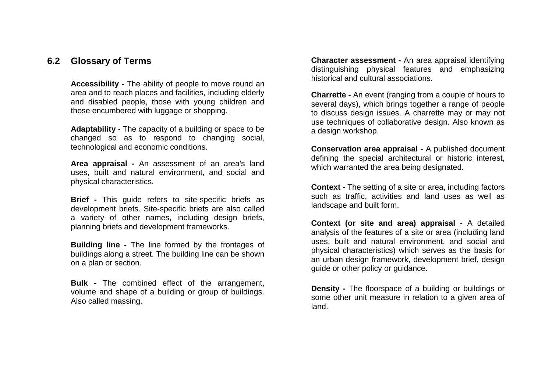# **6.2 Glossary of Terms**

**Accessibility -** The ability of people to move round an area and to reach places and facilities, including elderly and disabled people, those with young children and those encumbered with luggage or shopping.

**Adaptability -** The capacity of a building or space to be changed so as to respond to changing social, technological and economic conditions.

**Area appraisal -** An assessment of an area's land uses, built and natural environment, and social and physical characteristics.

**Brief -** This guide refers to site-specific briefs as development briefs. Site-specific briefs are also called a variety of other names, including design briefs, planning briefs and development frameworks.

**Building line -** The line formed by the frontages of buildings along a street. The building line can be shown on a plan or section.

**Bulk -** The combined effect of the arrangement, volume and shape of a building or group of buildings. Also called massing.

**Character assessment -** An area appraisal identifying distinguishing physical features and emphasizing historical and cultural associations.

**Charrette -** An event (ranging from a couple of hours to several days), which brings together a range of people to discuss design issues. A charrette may or may not use techniques of collaborative design. Also known as a design workshop.

**Conservation area appraisal -** A published document defining the special architectural or historic interest, which warranted the area being designated.

**Context -** The setting of a site or area, including factors such as traffic, activities and land uses as well as landscape and built form.

**Context (or site and area) appraisal -** A detailed analysis of the features of a site or area (including land uses, built and natural environment, and social and physical characteristics) which serves as the basis for an urban design framework, development brief, design guide or other policy or guidance.

**Density -** The floorspace of a building or buildings or some other unit measure in relation to a given area of land.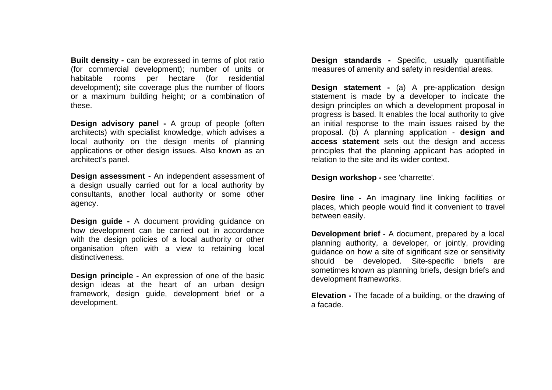**Built density -** can be expressed in terms of plot ratio (for commercial development); number of units or habitable rooms per hectare (for residential development); site coverage plus the number of floors or a maximum building height; or a combination of these.

**Design advisory panel -** A group of people (often architects) with specialist knowledge, which advises a local authority on the design merits of planning applications or other design issues. Also known as an architect's panel.

**Design assessment -** An independent assessment of a design usually carried out for a local authority by consultants, another local authority or some other agency.

**Design guide -** A document providing guidance on how development can be carried out in accordance with the design policies of a local authority or other organisation often with a view to retaining local distinctiveness.

**Design principle -** An expression of one of the basic design ideas at the heart of an urban design framework, design guide, development brief or a development.

**Design standards -** Specific, usually quantifiable measures of amenity and safety in residential areas.

**Design statement -** (a) A pre-application design statement is made by a developer to indicate the design principles on which a development proposal in progress is based. It enables the local authority to give an initial response to the main issues raised by the proposal. (b) A planning application - **design and access statement** sets out the design and access principles that the planning applicant has adopted in relation to the site and its wider context.

**Design workshop -** see 'charrette'.

**Desire line -** An imaginary line linking facilities or places, which people would find it convenient to travel between easily.

**Development brief -** A document, prepared by a local planning authority, a developer, or jointly, providing guidance on how a site of significant size or sensitivity should be developed. Site-specific briefs are sometimes known as planning briefs, design briefs and development frameworks.

**Elevation -** The facade of a building, or the drawing of a facade.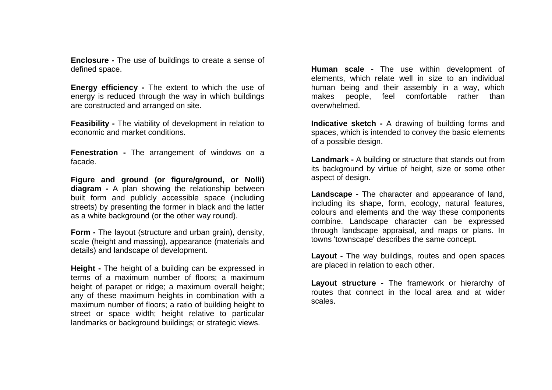**Enclosure -** The use of buildings to create a sense of defined space.

**Energy efficiency -** The extent to which the use of energy is reduced through the way in which buildings are constructed and arranged on site.

**Feasibility -** The viability of development in relation to economic and market conditions.

**Fenestration -** The arrangement of windows on a facade.

**Figure and ground (or figure/ground, or Nolli) diagram -** A plan showing the relationship between built form and publicly accessible space (including streets) by presenting the former in black and the latter as a white background (or the other way round).

**Form -** The layout (structure and urban grain), density, scale (height and massing), appearance (materials and details) and landscape of development.

**Height -** The height of a building can be expressed in terms of a maximum number of floors; a maximum height of parapet or ridge; a maximum overall height; any of these maximum heights in combination with a maximum number of floors; a ratio of building height to street or space width; height relative to particular landmarks or background buildings; or strategic views.

**Human scale -** The use within development of elements, which relate well in size to an individual human being and their assembly in a way, which makes people, feel comfortable rather than overwhelmed.

**Indicative sketch -** A drawing of building forms and spaces, which is intended to convey the basic elements of a possible design.

**Landmark -** A building or structure that stands out from its background by virtue of height, size or some other aspect of design.

**Landscape -** The character and appearance of land, including its shape, form, ecology, natural features, colours and elements and the way these components combine. Landscape character can be expressed through landscape appraisal, and maps or plans. In towns 'townscape' describes the same concept.

**Layout -** The way buildings, routes and open spaces are placed in relation to each other.

**Layout structure -** The framework or hierarchy of routes that connect in the local area and at wider scales.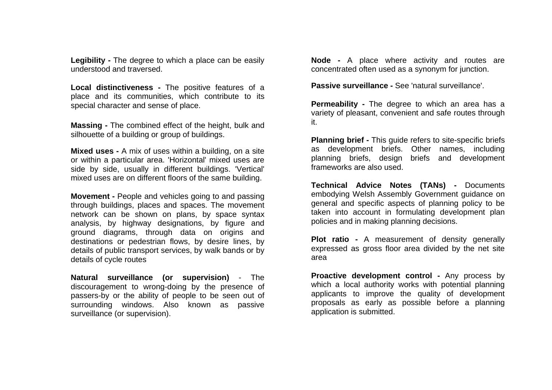**Legibility -** The degree to which a place can be easily understood and traversed.

**Local distinctiveness -** The positive features of a place and its communities, which contribute to its special character and sense of place.

**Massing -** The combined effect of the height, bulk and silhouette of a building or group of buildings.

**Mixed uses -** A mix of uses within a building, on a site or within a particular area. 'Horizontal' mixed uses are side by side, usually in different buildings. 'Vertical' mixed uses are on different floors of the same building.

**Movement -** People and vehicles going to and passing through buildings, places and spaces. The movement network can be shown on plans, by space syntax analysis, by highway designations, by figure and ground diagrams, through data on origins and destinations or pedestrian flows, by desire lines, by details of public transport services, by walk bands or by details of cycle routes

**Natural surveillance (or supervision)** - The discouragement to wrong-doing by the presence of passers-by or the ability of people to be seen out of surrounding windows. Also known as passive surveillance (or supervision).

**Node -** A place where activity and routes are concentrated often used as a synonym for junction.

**Passive surveillance -** See 'natural surveillance'.

**Permeability -** The degree to which an area has a variety of pleasant, convenient and safe routes through it.

**Planning brief -** This guide refers to site-specific briefs as development briefs. Other names, including planning briefs, design briefs and development frameworks are also used.

**Technical Advice Notes (TANs) -** Documents embodying Welsh Assembly Government guidance on general and specific aspects of planning policy to be taken into account in formulating development plan policies and in making planning decisions.

**Plot ratio -** A measurement of density generally expressed as gross floor area divided by the net site area

**Proactive development control -** Any process by which a local authority works with potential planning applicants to improve the quality of development proposals as early as possible before a planning application is submitted.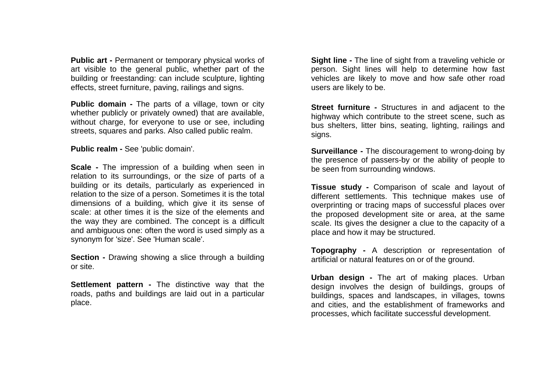**Public art -** Permanent or temporary physical works of art visible to the general public, whether part of the building or freestanding: can include sculpture, lighting effects, street furniture, paving, railings and signs.

**Public domain -** The parts of a village, town or city whether publicly or privately owned) that are available, without charge, for everyone to use or see, including streets, squares and parks. Also called public realm.

**Public realm -** See 'public domain'.

**Scale -** The impression of a building when seen in relation to its surroundings, or the size of parts of a building or its details, particularly as experienced in relation to the size of a person. Sometimes it is the total dimensions of a building, which give it its sense of scale: at other times it is the size of the elements and the way they are combined. The concept is a difficult and ambiguous one: often the word is used simply as a synonym for 'size'. See 'Human scale'.

**Section -** Drawing showing a slice through a building or site.

**Settlement pattern -** The distinctive way that the roads, paths and buildings are laid out in a particular place.

**Sight line -** The line of sight from a traveling vehicle or person. Sight lines will help to determine how fast vehicles are likely to move and how safe other road users are likely to be.

**Street furniture -** Structures in and adjacent to the highway which contribute to the street scene, such as bus shelters, litter bins, seating, lighting, railings and signs.

**Surveillance -** The discouragement to wrong-doing by the presence of passers-by or the ability of people to be seen from surrounding windows.

**Tissue study -** Comparison of scale and layout of different settlements. This technique makes use of overprinting or tracing maps of successful places over the proposed development site or area, at the same scale. Its gives the designer a clue to the capacity of a place and how it may be structured.

**Topography -** A description or representation of artificial or natural features on or of the ground.

**Urban design -** The art of making places. Urban design involves the design of buildings, groups of buildings, spaces and landscapes, in villages, towns and cities, and the establishment of frameworks and processes, which facilitate successful development.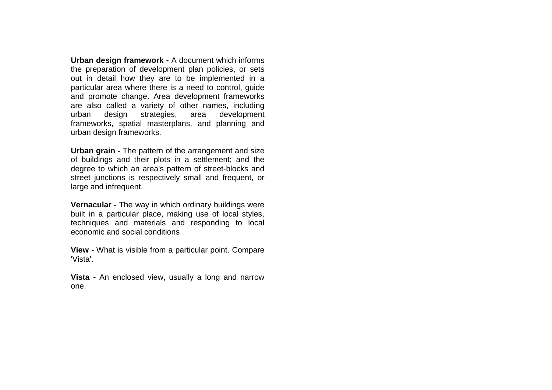**Urban design framework -** A document which informs the preparation of development plan policies, or sets out in detail how they are to be implemented in a particular area where there is a need to control, guide and promote change. Area development frameworks are also called a variety of other names, including urban design strategies, area development frameworks, spatial masterplans, and planning and urban design frameworks.

**Urban grain -** The pattern of the arrangement and size of buildings and their plots in a settlement; and the degree to which an area's pattern of street-blocks and street junctions is respectively small and frequent, or large and infrequent.

**Vernacular -** The way in which ordinary buildings were built in a particular place, making use of local styles, techniques and materials and responding to local economic and social conditions

**View -** What is visible from a particular point. Compare 'Vista'.

**Vista -** An enclosed view, usually a long and narrow one.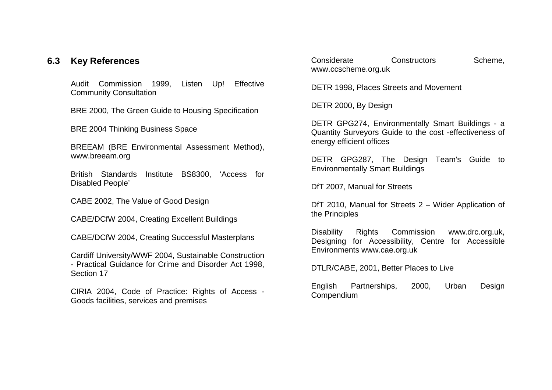# **6.3 Key References**

Audit Commission 1999, Listen Up! Effective Community Consultation

BRE 2000, The Green Guide to Housing Specification

BRE 2004 Thinking Business Space

BREEAM (BRE Environmental Assessment Method), www.breeam.org

British Standards Institute BS8300, 'Access for Disabled People'

CABE 2002, The Value of Good Design

CABE/DCfW 2004, Creating Excellent Buildings

CABE/DCfW 2004, Creating Successful Masterplans

Cardiff University/WWF 2004, Sustainable Construction - Practical Guidance for Crime and Disorder Act 1998, Section 17

CIRIA 2004, Code of Practice: Rights of Access -Goods facilities, services and premises

Considerate Constructors Scheme, www.ccscheme.org.uk

DETR 1998, Places Streets and Movement

DETR 2000, By Design

DETR GPG274, Environmentally Smart Buildings - a Quantity Surveyors Guide to the cost -effectiveness of energy efficient offices

DETR GPG287, The Design Team's Guide to Environmentally Smart Buildings

DfT 2007, Manual for Streets

DfT 2010, Manual for Streets 2 – Wider Application of the Principles

Disability Rights Commission www.drc.org.uk, Designing for Accessibility, Centre for Accessible Environments www.cae.org.uk

DTLR/CABE, 2001, Better Places to Live

English Partnerships, 2000, Urban Design Compendium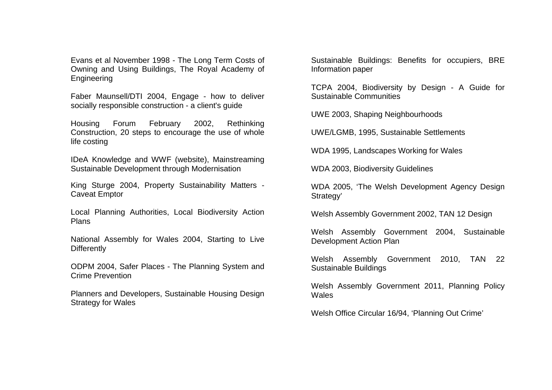Evans et al November 1998 - The Long Term Costs of Owning and Using Buildings, The Royal Academy of **Engineering** 

Faber Maunsell/DTI 2004, Engage - how to deliver socially responsible construction - a client's guide

Housing Forum February 2002, Rethinking Construction, 20 steps to encourage the use of whole life costing

IDeA Knowledge and WWF (website), Mainstreaming Sustainable Development through Modernisation

King Sturge 2004, Property Sustainability Matters - Caveat Emptor

Local Planning Authorities, Local Biodiversity Action Plans

National Assembly for Wales 2004, Starting to Live **Differently** 

ODPM 2004, Safer Places - The Planning System and Crime Prevention

Planners and Developers, Sustainable Housing Design Strategy for Wales

Sustainable Buildings: Benefits for occupiers, BRE Information paper

TCPA 2004, Biodiversity by Design - A Guide for Sustainable Communities

UWE 2003, Shaping Neighbourhoods

UWE/LGMB, 1995, Sustainable Settlements

WDA 1995, Landscapes Working for Wales

WDA 2003, Biodiversity Guidelines

WDA 2005, 'The Welsh Development Agency Design Strategy'

Welsh Assembly Government 2002, TAN 12 Design

Welsh Assembly Government 2004, Sustainable Development Action Plan

Welsh Assembly Government 2010, TAN 22 Sustainable Buildings

Welsh Assembly Government 2011, Planning Policy Wales

Welsh Office Circular 16/94, 'Planning Out Crime'